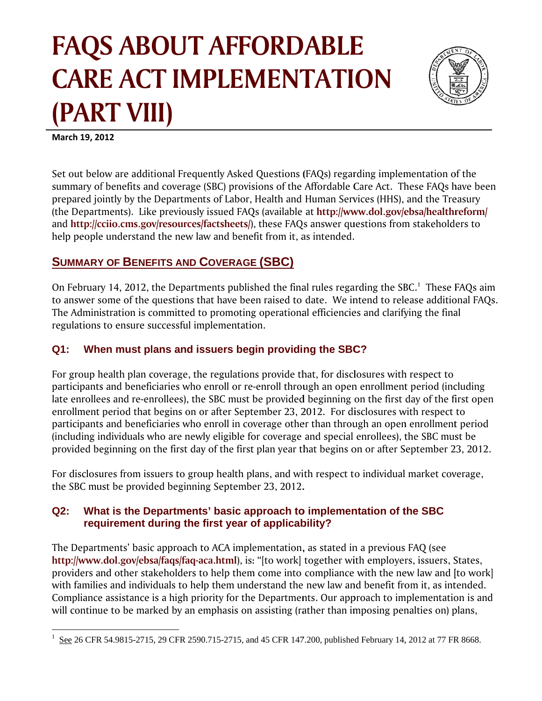# **FAQS ABOUT AFFORDABLE CARE ACT IMPLEMENTATION (PAR RT VII II)**



**March 19, 20 012**

 $\overline{a}$ 

 $\overline{a}$ 

 $\overline{a}$ 

Set out below are additional Frequently Asked Questions (FAQs) regarding implementation of the summary of benefits and coverage (SBC) provisions of the Affordable Care Act. These FAQs have been prepared jointly by the Departments of Labor, Health and Human Services (HHS), and the Treasury (the Departments). Like previously issued FAQs (available at **http://www.dol.gov/ebsa/healthreform/** and http://cciio.cms.gov/resources/factsheets/), these FAQs answer questions from stakeholders to help people understand the new law and benefit from it, as intended.

# **SUMMARY OF BENEFITS AND COVERAGE (SBC)**

help people understand the new law and benefit from it, as intended.<br>**SUMMARY OF BENEFITS AND COVERAGE (SBC)**<br>On February 14, 2012, the Departments published the final rules regarding the SBC.<sup>1</sup> These FAQs aim to answer some of the questions that have been raised to date. We intend to release additional FAQs. The Administration is committed to promoting operational efficiencies and clarifying the final regulations to ensure successful implementation.

## **Q1:** When must plans and issuers begin providing the SBC?

For group health plan coverage, the regulations provide that, for disclosures with respect to participants and beneficiaries who enroll or re-enroll through an open enrollment period (including late enrollees and re-enrollees), the SBC must be provided beginning on the first day of the first open enrollment period that begins on or after September 23, 2012. For disclosures with respect to participants and beneficiaries who enroll in coverage other than through an open enrollment period (including individuals who are newly eligible for coverage and special enrollees), the SBC must be provided beginning on the first day of the first plan year that begins on or after September 23, 2012.

For disclosures from issuers to group health plans, and with respect to individual market coverage, the SBC must be provided beginning September 23, 2012.

## **Q2:** What is the Departments' basic approach to implementation of the SBC **requirement during the first year of applicability?**

The Departments' basic approach to ACA implementation, as stated in a previous FAQ (see http://www.dol.gov/ebsa/faqs/faq-aca.html), is: "[to work] together with employers, issuers, States, providers and other stakeholders to help them come into compliance with the new law and [to work] with families and individuals to help them understand the new law and benefit from it, as intended. Compliance assistance is a high priority for the Departments. Our approach to implementation is and will continue to be marked by an emphasis on assisting (rather than imposing penalties on) plans,

<sup>1</sup> See 26 CFR R 54.9815-2715 5, 29 CFR 2590.715-2715, and 45 CFR 147.200, published February 14, 2012 at 77 FR 8668.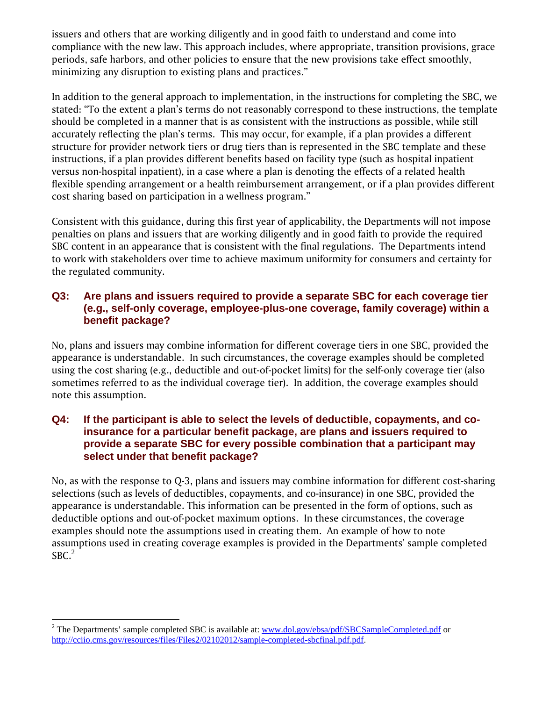issuers and others that are working diligently and in good faith to understand and come into compliance with the new law. This approach includes, where appropriate, transition provisions, grace periods, safe harbors, and other policies to ensure that the new provisions take effect smoothly, minimizing any disruption to existing plans and practices."

In addition to the general approach to implementation, in the instructions for completing the SBC, we stated: "To the extent a plan's terms do not reasonably correspond to these instructions, the template should be completed in a manner that is as consistent with the instructions as possible, while still accurately reflecting the plan's terms. This may occur, for example, if a plan provides a different structure for provider network tiers or drug tiers than is represented in the SBC template and these instructions, if a plan provides different benefits based on facility type (such as hospital inpatient versus non-hospital inpatient), in a case where a plan is denoting the effects of a related health flexible spending arrangement or a health reimbursement arrangement, or if a plan provides different cost sharing based on participation in a wellness program."

Consistent with this guidance, during this first year of applicability, the Departments will not impose penalties on plans and issuers that are working diligently and in good faith to provide the required SBC content in an appearance that is consistent with the final regulations. The Departments intend to work with stakeholders over time to achieve maximum uniformity for consumers and certainty for the regulated community.

#### **Q3: Are plans and issuers required to provide a separate SBC for each coverage tier (e.g., self-only coverage, employee-plus-one coverage, family coverage) within a benefit package?**

No, plans and issuers may combine information for different coverage tiers in one SBC, provided the appearance is understandable. In such circumstances, the coverage examples should be completed using the cost sharing (e.g., deductible and out-of-pocket limits) for the self-only coverage tier (also sometimes referred to as the individual coverage tier). In addition, the coverage examples should note this assumption.

#### **Q4: If the participant is able to select the levels of deductible, copayments, and coinsurance for a particular benefit package, are plans and issuers required to provide a separate SBC for every possible combination that a participant may select under that benefit package?**

No, as with the response to Q-3, plans and issuers may combine information for different cost-sharing selections (such as levels of deductibles, copayments, and co-insurance) in one SBC, provided the appearance is understandable. This information can be presented in the form of options, such as deductible options and out-of-pocket maximum options. In these circumstances, the coverage examples should note the assumptions used in creating them. An example of how to note assumptions used in creating coverage examples is provided in the Departments' sample completed  $SBC.<sup>2</sup>$ 

 $\overline{a}$ 

<sup>&</sup>lt;sup>2</sup> The Departments' sample completed SBC is available at: www.dol.gov/ebsa/pdf/SBCSampleCompleted.pdf or http://cciio.cms.gov/resources/files/Files2/02102012/sample-completed-sbcfinal.pdf.pdf.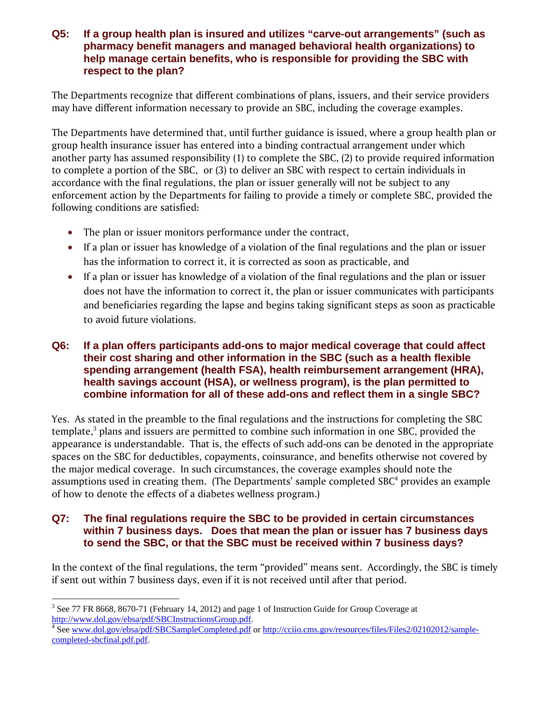#### **Q5: If a group health plan is insured and utilizes "carve-out arrangements" (such as pharmacy benefit managers and managed behavioral health organizations) to help manage certain benefits, who is responsible for providing the SBC with respect to the plan?**

The Departments recognize that different combinations of plans, issuers, and their service providers may have different information necessary to provide an SBC, including the coverage examples.

The Departments have determined that, until further guidance is issued, where a group health plan or group health insurance issuer has entered into a binding contractual arrangement under which another party has assumed responsibility (1) to complete the SBC, (2) to provide required information to complete a portion of the SBC, or (3) to deliver an SBC with respect to certain individuals in accordance with the final regulations, the plan or issuer generally will not be subject to any enforcement action by the Departments for failing to provide a timely or complete SBC, provided the following conditions are satisfied:

- The plan or issuer monitors performance under the contract,
- If a plan or issuer has knowledge of a violation of the final regulations and the plan or issuer has the information to correct it, it is corrected as soon as practicable, and
- If a plan or issuer has knowledge of a violation of the final regulations and the plan or issuer does not have the information to correct it, the plan or issuer communicates with participants and beneficiaries regarding the lapse and begins taking significant steps as soon as practicable to avoid future violations.

### **Q6: If a plan offers participants add-ons to major medical coverage that could affect their cost sharing and other information in the SBC (such as a health flexible spending arrangement (health FSA), health reimbursement arrangement (HRA), health savings account (HSA), or wellness program), is the plan permitted to combine information for all of these add-ons and reflect them in a single SBC?**

Yes. As stated in the preamble to the final regulations and the instructions for completing the SBC template, $^3$  plans and issuers are permitted to combine such information in one SBC, provided the appearance is understandable. That is, the effects of such add-ons can be denoted in the appropriate spaces on the SBC for deductibles, copayments, coinsurance, and benefits otherwise not covered by the major medical coverage. In such circumstances, the coverage examples should note the assumptions used in creating them. (The Departments' sample completed SBC $4$  provides an example of how to denote the effects of a diabetes wellness program.)

## **Q7: The final regulations require the SBC to be provided in certain circumstances within 7 business days. Does that mean the plan or issuer has 7 business days to send the SBC, or that the SBC must be received within 7 business days?**

In the context of the final regulations, the term "provided" means sent. Accordingly, the SBC is timely if sent out within 7 business days, even if it is not received until after that period.

 $\overline{a}$  $3$  See 77 FR 8668, 8670-71 (February 14, 2012) and page 1 of Instruction Guide for Group Coverage at http://www.dol.gov/ebsa/pdf/SBCInstructionsGroup.pdf. 4

<sup>&</sup>lt;sup>4</sup> See www.dol.gov/ebsa/pdf/SBCSampleCompleted.pdf or http://cciio.cms.gov/resources/files/Files2/02102012/samplecompleted-sbcfinal.pdf.pdf.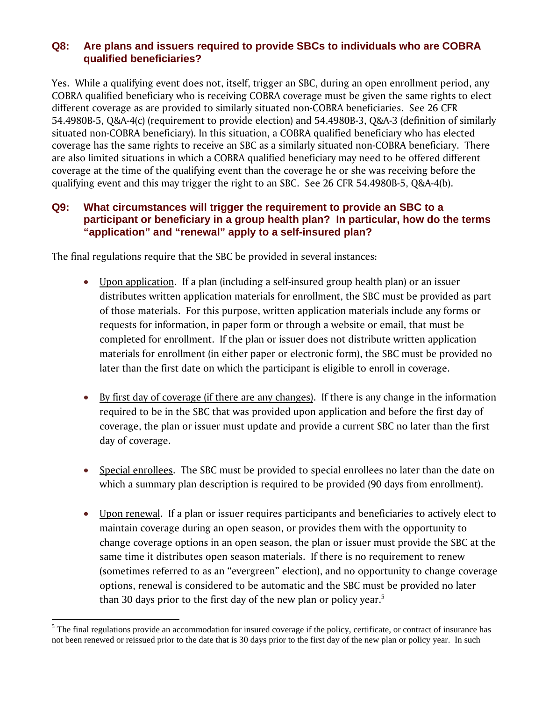## **Q8: Are plans and issuers required to provide SBCs to individuals who are COBRA qualified beneficiaries?**

Yes. While a qualifying event does not, itself, trigger an SBC, during an open enrollment period, any COBRA qualified beneficiary who is receiving COBRA coverage must be given the same rights to elect different coverage as are provided to similarly situated non-COBRA beneficiaries. See 26 CFR 54.4980B-5, Q&A-4(c) (requirement to provide election) and 54.4980B-3, Q&A-3 (definition of similarly situated non-COBRA beneficiary). In this situation, a COBRA qualified beneficiary who has elected coverage has the same rights to receive an SBC as a similarly situated non-COBRA beneficiary. There are also limited situations in which a COBRA qualified beneficiary may need to be offered different coverage at the time of the qualifying event than the coverage he or she was receiving before the qualifying event and this may trigger the right to an SBC. See 26 CFR 54.4980B-5, Q&A-4(b).

## **Q9: What circumstances will trigger the requirement to provide an SBC to a participant or beneficiary in a group health plan? In particular, how do the terms "application" and "renewal" apply to a self-insured plan?**

The final regulations require that the SBC be provided in several instances:

- Upon application. If a plan (including a self-insured group health plan) or an issuer distributes written application materials for enrollment, the SBC must be provided as part of those materials. For this purpose, written application materials include any forms or requests for information, in paper form or through a website or email, that must be completed for enrollment. If the plan or issuer does not distribute written application materials for enrollment (in either paper or electronic form), the SBC must be provided no later than the first date on which the participant is eligible to enroll in coverage.
- By first day of coverage (if there are any changes). If there is any change in the information required to be in the SBC that was provided upon application and before the first day of coverage, the plan or issuer must update and provide a current SBC no later than the first day of coverage.
- Special enrollees. The SBC must be provided to special enrollees no later than the date on which a summary plan description is required to be provided (90 days from enrollment).
- Upon renewal. If a plan or issuer requires participants and beneficiaries to actively elect to maintain coverage during an open season, or provides them with the opportunity to change coverage options in an open season, the plan or issuer must provide the SBC at the same time it distributes open season materials. If there is no requirement to renew (sometimes referred to as an "evergreen" election), and no opportunity to change coverage options, renewal is considered to be automatic and the SBC must be provided no later than 30 days prior to the first day of the new plan or policy year.<sup>5</sup>

 $\overline{a}$ 

 $5$  The final regulations provide an accommodation for insured coverage if the policy, certificate, or contract of insurance has not been renewed or reissued prior to the date that is 30 days prior to the first day of the new plan or policy year. In such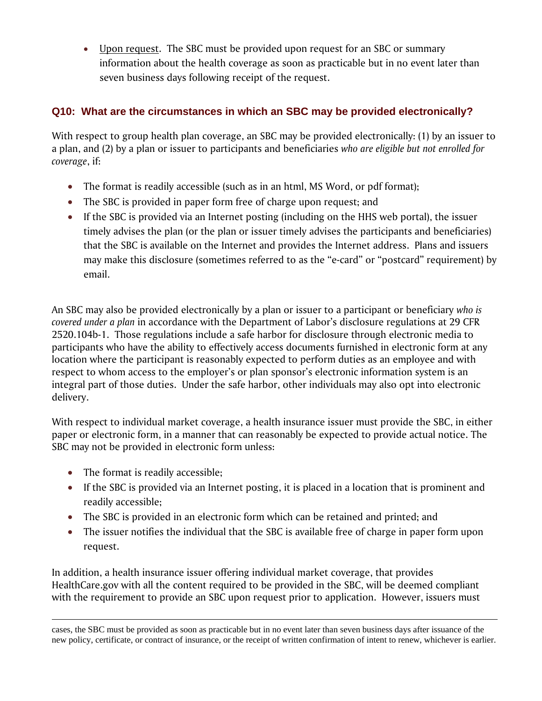Upon request. The SBC must be provided upon request for an SBC or summary information about the health coverage as soon as practicable but in no event later than seven business days following receipt of the request.

## **Q10: What are the circumstances in which an SBC may be provided electronically?**

With respect to group health plan coverage, an SBC may be provided electronically: (1) by an issuer to a plan, and (2) by a plan or issuer to participants and beneficiaries *who are eligible but not enrolled for coverage*, if:

- The format is readily accessible (such as in an html, MS Word, or pdf format);
- The SBC is provided in paper form free of charge upon request; and
- If the SBC is provided via an Internet posting (including on the HHS web portal), the issuer timely advises the plan (or the plan or issuer timely advises the participants and beneficiaries) that the SBC is available on the Internet and provides the Internet address. Plans and issuers may make this disclosure (sometimes referred to as the "e-card" or "postcard" requirement) by email.

An SBC may also be provided electronically by a plan or issuer to a participant or beneficiary *who is covered under a plan* in accordance with the Department of Labor's disclosure regulations at 29 CFR 2520.104b-1. Those regulations include a safe harbor for disclosure through electronic media to participants who have the ability to effectively access documents furnished in electronic form at any location where the participant is reasonably expected to perform duties as an employee and with respect to whom access to the employer's or plan sponsor's electronic information system is an integral part of those duties. Under the safe harbor, other individuals may also opt into electronic delivery.

With respect to individual market coverage, a health insurance issuer must provide the SBC, in either paper or electronic form, in a manner that can reasonably be expected to provide actual notice. The SBC may not be provided in electronic form unless:

- The format is readily accessible;
- If the SBC is provided via an Internet posting, it is placed in a location that is prominent and readily accessible;
- The SBC is provided in an electronic form which can be retained and printed; and
- The issuer notifies the individual that the SBC is available free of charge in paper form upon request.

In addition, a health insurance issuer offering individual market coverage, that provides HealthCare.gov with all the content required to be provided in the SBC, will be deemed compliant with the requirement to provide an SBC upon request prior to application. However, issuers must

 cases, the SBC must be provided as soon as practicable but in no event later than seven business days after issuance of the new policy, certificate, or contract of insurance, or the receipt of written confirmation of intent to renew, whichever is earlier.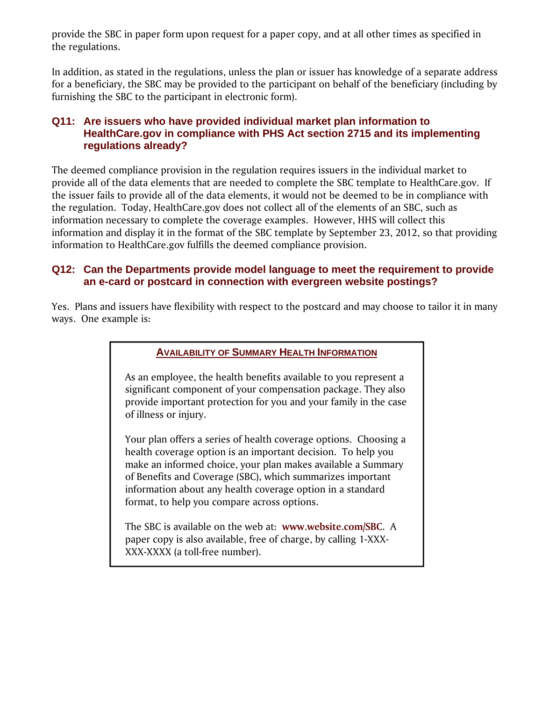provide the SBC in paper form upon request for a paper copy, and at all other times as specified in the regulations.

In addition, as stated in the regulations, unless the plan or issuer has knowledge of a separate address for a beneficiary, the SBC may be provided to the participant on behalf of the beneficiary (including by furnishing the SBC to the participant in electronic form).

## **Q11: Are issuers who have provided individual market plan information to HealthCare.gov in compliance with PHS Act section 2715 and its implementing regulations already?**

The deemed compliance provision in the regulation requires issuers in the individual market to provide all of the data elements that are needed to complete the SBC template to HealthCare.gov. If the issuer fails to provide all of the data elements, it would not be deemed to be in compliance with the regulation. Today, HealthCare.gov does not collect all of the elements of an SBC, such as information necessary to complete the coverage examples. However, HHS will collect this information and display it in the format of the SBC template by September 23, 2012, so that providing information to HealthCare.gov fulfills the deemed compliance provision.

## **Q12: Can the Departments provide model language to meet the requirement to provide an e-card or postcard in connection with evergreen website postings?**

Yes. Plans and issuers have flexibility with respect to the postcard and may choose to tailor it in many ways. One example is:

#### **AVAILABILITY OF SUMMARY HEALTH INFORMATION**

As an employee, the health benefits available to you represent a significant component of your compensation package. They also provide important protection for you and your family in the case of illness or injury.

Your plan offers a series of health coverage options. Choosing a health coverage option is an important decision. To help you make an informed choice, your plan makes available a Summary of Benefits and Coverage (SBC), which summarizes important information about any health coverage option in a standard format, to help you compare across options.

The SBC is available on the web at: **www.website.com/SBC**. A paper copy is also available, free of charge, by calling 1-XXX-XXX-XXXX (a toll-free number).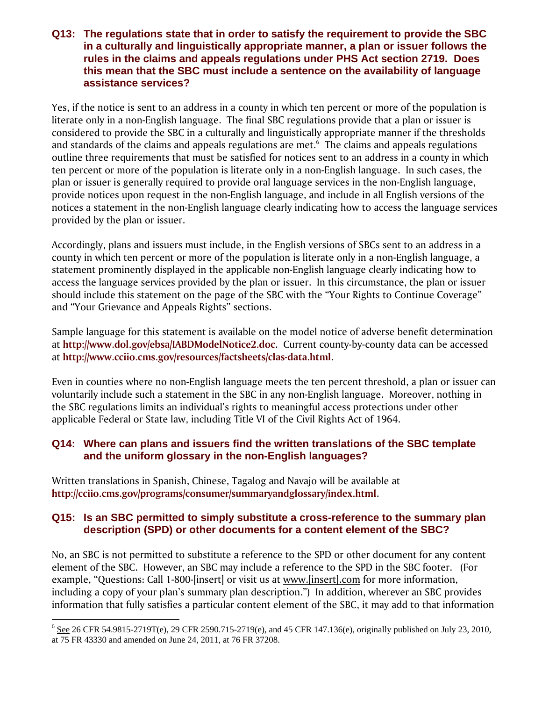#### **Q13: The regulations state that in order to satisfy the requirement to provide the SBC in a culturally and linguistically appropriate manner, a plan or issuer follows the rules in the claims and appeals regulations under PHS Act section 2719. Does this mean that the SBC must include a sentence on the availability of language assistance services?**

Yes, if the notice is sent to an address in a county in which ten percent or more of the population is literate only in a non-English language. The final SBC regulations provide that a plan or issuer is considered to provide the SBC in a culturally and linguistically appropriate manner if the thresholds and standards of the claims and appeals regulations are met. $6$  The claims and appeals regulations outline three requirements that must be satisfied for notices sent to an address in a county in which ten percent or more of the population is literate only in a non-English language. In such cases, the plan or issuer is generally required to provide oral language services in the non-English language, provide notices upon request in the non-English language, and include in all English versions of the notices a statement in the non-English language clearly indicating how to access the language services provided by the plan or issuer.

Accordingly, plans and issuers must include, in the English versions of SBCs sent to an address in a county in which ten percent or more of the population is literate only in a non-English language, a statement prominently displayed in the applicable non-English language clearly indicating how to access the language services provided by the plan or issuer. In this circumstance, the plan or issuer should include this statement on the page of the SBC with the "Your Rights to Continue Coverage" and "Your Grievance and Appeals Rights" sections.

Sample language for this statement is available on the model notice of adverse benefit determination at **http://www.dol.gov/ebsa/IABDModelNotice2.doc**. Current county-by-county data can be accessed at **http://www.cciio.cms.gov/resources/factsheets/clas-data.html**.

Even in counties where no non-English language meets the ten percent threshold, a plan or issuer can voluntarily include such a statement in the SBC in any non-English language. Moreover, nothing in the SBC regulations limits an individual's rights to meaningful access protections under other applicable Federal or State law, including Title VI of the Civil Rights Act of 1964.

## **Q14: Where can plans and issuers find the written translations of the SBC template and the uniform glossary in the non-English languages?**

Written translations in Spanish, Chinese, Tagalog and Navajo will be available at **http://cciio.cms.gov/programs/consumer/summaryandglossary/index.html**.

 $\overline{a}$ 

## **Q15: Is an SBC permitted to simply substitute a cross-reference to the summary plan description (SPD) or other documents for a content element of the SBC?**

No, an SBC is not permitted to substitute a reference to the SPD or other document for any content element of the SBC. However, an SBC may include a reference to the SPD in the SBC footer. (For example, "Questions: Call 1-800-[insert] or visit us at www.[insert].com for more information, including a copy of your plan's summary plan description.") In addition, wherever an SBC provides information that fully satisfies a particular content element of the SBC, it may add to that information

 $6$  See 26 CFR 54.9815-2719T(e), 29 CFR 2590.715-2719(e), and 45 CFR 147.136(e), originally published on July 23, 2010, at 75 FR 43330 and amended on June 24, 2011, at 76 FR 37208.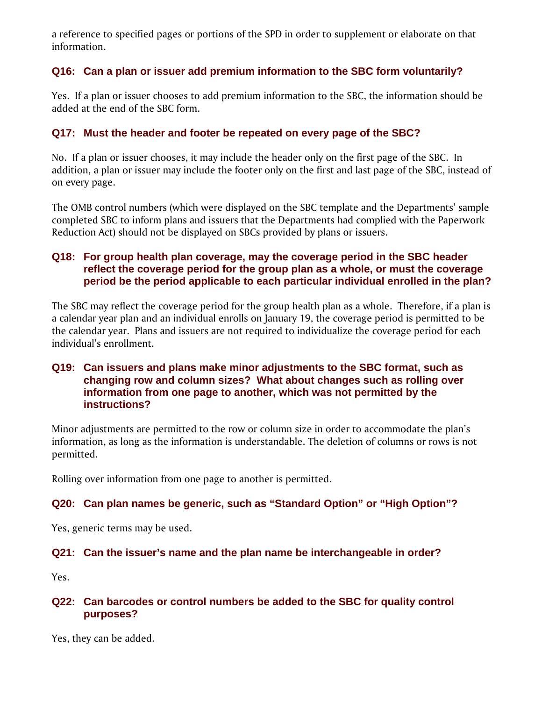a reference to specified pages or portions of the SPD in order to supplement or elaborate on that information.

## **Q16: Can a plan or issuer add premium information to the SBC form voluntarily?**

Yes. If a plan or issuer chooses to add premium information to the SBC, the information should be added at the end of the SBC form.

## **Q17: Must the header and footer be repeated on every page of the SBC?**

No. If a plan or issuer chooses, it may include the header only on the first page of the SBC. In addition, a plan or issuer may include the footer only on the first and last page of the SBC, instead of on every page.

The OMB control numbers (which were displayed on the SBC template and the Departments' sample completed SBC to inform plans and issuers that the Departments had complied with the Paperwork Reduction Act) should not be displayed on SBCs provided by plans or issuers.

## **Q18: For group health plan coverage, may the coverage period in the SBC header reflect the coverage period for the group plan as a whole, or must the coverage period be the period applicable to each particular individual enrolled in the plan?**

The SBC may reflect the coverage period for the group health plan as a whole. Therefore, if a plan is a calendar year plan and an individual enrolls on January 19, the coverage period is permitted to be the calendar year. Plans and issuers are not required to individualize the coverage period for each individual's enrollment.

#### **Q19: Can issuers and plans make minor adjustments to the SBC format, such as changing row and column sizes? What about changes such as rolling over information from one page to another, which was not permitted by the instructions?**

Minor adjustments are permitted to the row or column size in order to accommodate the plan's information, as long as the information is understandable. The deletion of columns or rows is not permitted.

Rolling over information from one page to another is permitted.

#### **Q20: Can plan names be generic, such as "Standard Option" or "High Option"?**

Yes, generic terms may be used.

#### **Q21: Can the issuer's name and the plan name be interchangeable in order?**

Yes.

#### **Q22: Can barcodes or control numbers be added to the SBC for quality control purposes?**

Yes, they can be added.